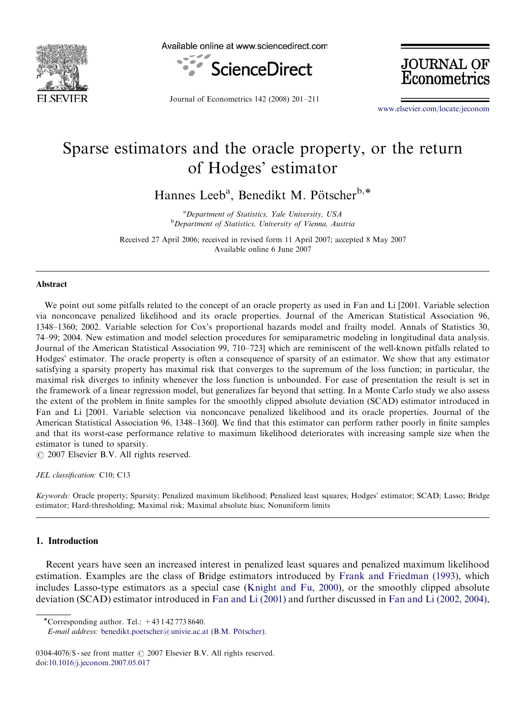

Available online at www.sciencedirect.com



Journal of Econometrics 142 (2008) 201–211

**JOURNAL OF**<br>Econometrics

<www.elsevier.com/locate/jeconom>

# Sparse estimators and the oracle property, or the return of Hodges' estimator

Hannes Leeb<sup>a</sup>, Benedikt M. Pötscher<sup>b,\*</sup>

<sup>a</sup>Department of Statistics, Yale University, USA **b** Department of Statistics, University of Vienna, Austria

Received 27 April 2006; received in revised form 11 April 2007; accepted 8 May 2007 Available online 6 June 2007

#### Abstract

We point out some pitfalls related to the concept of an oracle property as used in Fan and Li [2001. Variable selection via nonconcave penalized likelihood and its oracle properties. Journal of the American Statistical Association 96, 1348–1360; 2002. Variable selection for Cox's proportional hazards model and frailty model. Annals of Statistics 30, 74–99; 2004. New estimation and model selection procedures for semiparametric modeling in longitudinal data analysis. Journal of the American Statistical Association 99, 710–723] which are reminiscent of the well-known pitfalls related to Hodges' estimator. The oracle property is often a consequence of sparsity of an estimator. We show that any estimator satisfying a sparsity property has maximal risk that converges to the supremum of the loss function; in particular, the maximal risk diverges to infinity whenever the loss function is unbounded. For ease of presentation the result is set in the framework of a linear regression model, but generalizes far beyond that setting. In a Monte Carlo study we also assess the extent of the problem in finite samples for the smoothly clipped absolute deviation (SCAD) estimator introduced in Fan and Li [2001. Variable selection via nonconcave penalized likelihood and its oracle properties. Journal of the American Statistical Association 96, 1348–1360]. We find that this estimator can perform rather poorly in finite samples and that its worst-case performance relative to maximum likelihood deteriorates with increasing sample size when the estimator is tuned to sparsity.

 $O$  2007 Elsevier B.V. All rights reserved.

JEL classification: C10; C13

Keywords: Oracle property; Sparsity; Penalized maximum likelihood; Penalized least squares; Hodges' estimator; SCAD; Lasso; Bridge estimator; Hard-thresholding; Maximal risk; Maximal absolute bias; Nonuniform limits

# 1. Introduction

Recent years have seen an increased interest in penalized least squares and penalized maximum likelihood estimation. Examples are the class of Bridge estimators introduced by [Frank and Friedman \(1993\)](#page-9-0), which includes Lasso-type estimators as a special case [\(Knight and Fu, 2000\)](#page-9-0), or the smoothly clipped absolute deviation (SCAD) estimator introduced in [Fan and Li \(2001\)](#page-9-0) and further discussed in [Fan and Li \(2002, 2004\)](#page-9-0),

\*Corresponding author. Tel.:  $+431427738640$ .

E-mail address: benedikt.poetscher@univie.ac.at (B.M. Pötscher).

<sup>0304-4076/\$ -</sup> see front matter  $\odot$  2007 Elsevier B.V. All rights reserved. doi:[10.1016/j.jeconom.2007.05.017](dx.doi.org/10.1016/j.jeconom.2007.05.017)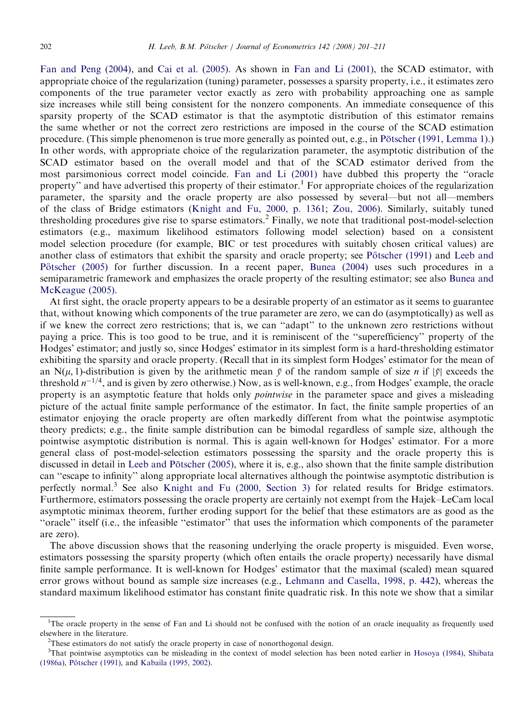[Fan and Peng \(2004\),](#page-9-0) and [Cai et al. \(2005\).](#page-9-0) As shown in [Fan and Li \(2001\)](#page-9-0), the SCAD estimator, with appropriate choice of the regularization (tuning) parameter, possesses a sparsity property, i.e., it estimates zero components of the true parameter vector exactly as zero with probability approaching one as sample size increases while still being consistent for the nonzero components. An immediate consequence of this sparsity property of the SCAD estimator is that the asymptotic distribution of this estimator remains the same whether or not the correct zero restrictions are imposed in the course of the SCAD estimation procedure. (This simple phenomenon is true more generally as pointed out, e.g., in Pötscher (1991, Lemma 1).) In other words, with appropriate choice of the regularization parameter, the asymptotic distribution of the SCAD estimator based on the overall model and that of the SCAD estimator derived from the most parsimonious correct model coincide. [Fan and Li \(2001\)](#page-9-0) have dubbed this property the ''oracle property'' and have advertised this property of their estimator.<sup>1</sup> For appropriate choices of the regularization parameter, the sparsity and the oracle property are also possessed by several—but not all—members of the class of Bridge estimators [\(Knight and Fu, 2000, p. 1361](#page-9-0); [Zou, 2006](#page-10-0)). Similarly, suitably tuned thresholding procedures give rise to sparse estimators.<sup>2</sup> Finally, we note that traditional post-model-selection estimators (e.g., maximum likelihood estimators following model selection) based on a consistent model selection procedure (for example, BIC or test procedures with suitably chosen critical values) are another class of estimators that exhibit the sparsity and oracle property; see Pötscher (1991) and [Leeb and](#page-9-0) Pötscher (2005) for further discussion. In a recent paper, [Bunea \(2004\)](#page-9-0) uses such procedures in a semiparametric framework and emphasizes the oracle property of the resulting estimator; see also [Bunea and](#page-9-0) [McKeague \(2005\).](#page-9-0)

At first sight, the oracle property appears to be a desirable property of an estimator as it seems to guarantee that, without knowing which components of the true parameter are zero, we can do (asymptotically) as well as if we knew the correct zero restrictions; that is, we can ''adapt'' to the unknown zero restrictions without paying a price. This is too good to be true, and it is reminiscent of the ''superefficiency'' property of the Hodges' estimator; and justly so, since Hodges' estimator in its simplest form is a hard-thresholding estimator exhibiting the sparsity and oracle property. (Recall that in its simplest form Hodges' estimator for the mean of an N $(\mu, 1)$ -distribution is given by the arithmetic mean  $\bar{y}$  of the random sample of size n if  $|\bar{y}|$  exceeds the threshold  $n^{-1/4}$ , and is given by zero otherwise.) Now, as is well-known, e.g., from Hodges' example, the oracle property is an asymptotic feature that holds only *pointwise* in the parameter space and gives a misleading picture of the actual finite sample performance of the estimator. In fact, the finite sample properties of an estimator enjoying the oracle property are often markedly different from what the pointwise asymptotic theory predicts; e.g., the finite sample distribution can be bimodal regardless of sample size, although the pointwise asymptotic distribution is normal. This is again well-known for Hodges' estimator. For a more general class of post-model-selection estimators possessing the sparsity and the oracle property this is discussed in detail in Leeb and Pötscher (2005), where it is, e.g., also shown that the finite sample distribution can ''escape to infinity'' along appropriate local alternatives although the pointwise asymptotic distribution is perfectly normal.<sup>3</sup> See also [Knight and Fu \(2000, Section 3\)](#page-9-0) for related results for Bridge estimators. Furthermore, estimators possessing the oracle property are certainly not exempt from the Hajek–LeCam local asymptotic minimax theorem, further eroding support for the belief that these estimators are as good as the ''oracle'' itself (i.e., the infeasible ''estimator'' that uses the information which components of the parameter are zero).

The above discussion shows that the reasoning underlying the oracle property is misguided. Even worse, estimators possessing the sparsity property (which often entails the oracle property) necessarily have dismal finite sample performance. It is well-known for Hodges' estimator that the maximal (scaled) mean squared error grows without bound as sample size increases (e.g., [Lehmann and Casella, 1998, p. 442\)](#page-10-0), whereas the standard maximum likelihood estimator has constant finite quadratic risk. In this note we show that a similar

<sup>&</sup>lt;sup>1</sup>The oracle property in the sense of Fan and Li should not be confused with the notion of an oracle inequality as frequently used elsewhere in the literature. <sup>2</sup>

 $2$ These estimators do not satisfy the oracle property in case of nonorthogonal design.

<sup>&</sup>lt;sup>3</sup>That pointwise asymptotics can be misleading in the context of model selection has been noted earlier in [Hosoya \(1984\)](#page-9-0), [Shibata](#page-10-0) [\(1986a\)](#page-10-0), Pötscher (1991), and [Kabaila \(1995, 2002\)](#page-9-0).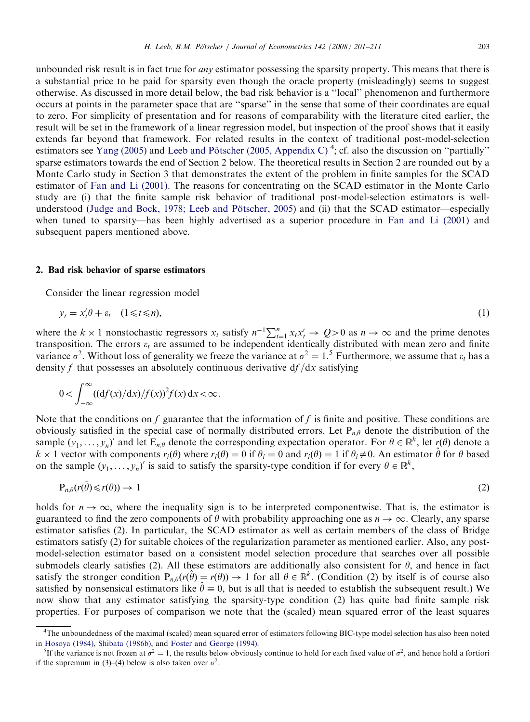unbounded risk result is in fact true for *any* estimator possessing the sparsity property. This means that there is a substantial price to be paid for sparsity even though the oracle property (misleadingly) seems to suggest otherwise. As discussed in more detail below, the bad risk behavior is a ''local'' phenomenon and furthermore occurs at points in the parameter space that are ''sparse'' in the sense that some of their coordinates are equal to zero. For simplicity of presentation and for reasons of comparability with the literature cited earlier, the result will be set in the framework of a linear regression model, but inspection of the proof shows that it easily extends far beyond that framework. For related results in the context of traditional post-model-selection estimators see [Yang \(2005\)](#page-10-0) and Leeb and Pötscher (2005, Appendix C)<sup>4</sup>; cf. also the discussion on "partially" sparse estimators towards the end of Section 2 below. The theoretical results in Section 2 are rounded out by a Monte Carlo study in Section 3 that demonstrates the extent of the problem in finite samples for the SCAD estimator of [Fan and Li \(2001\)](#page-9-0). The reasons for concentrating on the SCAD estimator in the Monte Carlo study are (i) that the finite sample risk behavior of traditional post-model-selection estimators is wellunderstood (Judge and Bock, 1978; Leeb and Pötscher, 2005) and (ii) that the SCAD estimator—especially when tuned to sparsity—has been highly advertised as a superior procedure in [Fan and Li \(2001\)](#page-9-0) and subsequent papers mentioned above.

#### 2. Bad risk behavior of sparse estimators

Consider the linear regression model

$$
y_t = x_t' \theta + \varepsilon_t \quad (1 \leq t \leq n), \tag{1}
$$

where the  $k \times 1$  nonstochastic regressors  $x_t$  satisfy  $n^{-1} \sum_{t=1}^n x_t x_t' \to Q > 0$  as  $n \to \infty$  and the prime denotes transposition. The errors  $\varepsilon_t$  are assumed to be independent identically distributed with mean zero and finite variance  $\sigma^2$ . Without loss of generality we freeze the variance at  $\sigma^2 = 1$ .<sup>5</sup> Furthermore, we assume that  $\varepsilon_t$  has a density f that possesses an absolutely continuous derivative  $df/dx$  satisfying

$$
0 < \int_{-\infty}^{\infty} ((\mathrm{d}f(x)/\mathrm{d}x)/f(x))^2 f(x) \, \mathrm{d}x < \infty.
$$

Note that the conditions on  $f$  guarantee that the information of  $f$  is finite and positive. These conditions are obviously satisfied in the special case of normally distributed errors. Let  $P_{n,\theta}$  denote the distribution of the sample  $(y_1, \ldots, y_n)'$  and let  $E_{n,\theta}$  denote the corresponding expectation operator. For  $\theta \in \mathbb{R}^k$ , let  $r(\theta)$  denote a  $k \times 1$  vector with components  $r_i(\theta)$  where  $r_i(\theta) = 0$  if  $\theta_i = 0$  and  $r_i(\theta) = 1$  if  $\theta_i \neq 0$ . An estimator  $\hat{\theta}$  for  $\theta$  based on the sample  $(y_1, \ldots, y_n)'$  is said to satisfy the sparsity-type condition if for every  $\theta \in \mathbb{R}^k$ ,

$$
P_{n,\theta}(r(\hat{\theta}) \le r(\theta)) \to 1 \tag{2}
$$

holds for  $n \to \infty$ , where the inequality sign is to be interpreted componentwise. That is, the estimator is guaranteed to find the zero components of  $\theta$  with probability approaching one as  $n \to \infty$ . Clearly, any sparse estimator satisfies (2). In particular, the SCAD estimator as well as certain members of the class of Bridge estimators satisfy (2) for suitable choices of the regularization parameter as mentioned earlier. Also, any postmodel-selection estimator based on a consistent model selection procedure that searches over all possible submodels clearly satisfies (2). All these estimators are additionally also consistent for  $\theta$ , and hence in fact satisfy the stronger condition  $P_{n,\theta}(r(\hat{\theta}) = r(\theta)) \to 1$  for all  $\theta \in \mathbb{R}^k$ . (Condition (2) by itself is of course also satisfied by nonsensical estimators like  $\hat{\theta} \equiv 0$ , but is all that is needed to establish the subsequent result.) We now show that any estimator satisfying the sparsity-type condition (2) has quite bad finite sample risk properties. For purposes of comparison we note that the (scaled) mean squared error of the least squares

<sup>&</sup>lt;sup>4</sup>The unboundedness of the maximal (scaled) mean squared error of estimators following BIC-type model selection has also been noted in [Hosoya \(1984\)](#page-9-0), [Shibata \(1986b\)](#page-10-0), and [Foster and George \(1994\)](#page-9-0).

<sup>&</sup>lt;sup>5</sup>If the variance is not frozen at  $\sigma^2 = 1$ , the results below obviously continue to hold for each fixed value of  $\sigma^2$ , and hence hold a fortiori if the supremum in (3)–(4) below is also taken over  $\sigma^2$ .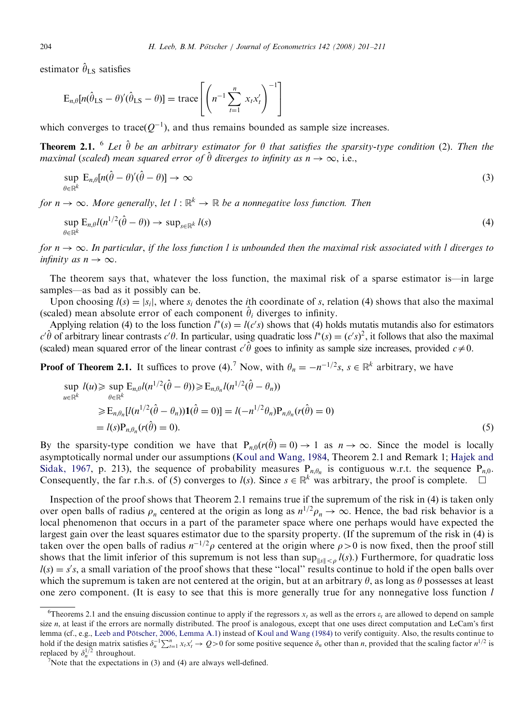estimator  $\hat{\theta}_{\text{LS}}$  satisfies

$$
E_{n,\theta}[n(\hat{\theta}_{LS} - \theta)'(\hat{\theta}_{LS} - \theta)] = \operatorname{trace}\left[\left(n^{-1}\sum_{t=1}^{n} x_{t}x_{t}'\right)^{-1}\right]
$$

which converges to trace $(Q^{-1})$ , and thus remains bounded as sample size increases.

**Theorem 2.1.** <sup>6</sup> Let  $\hat{\theta}$  be an arbitrary estimator for  $\theta$  that satisfies the sparsity-type condition (2). Then the maximal (scaled) mean squared error of  $\hat{\theta}$  diverges to infinity as  $n \to \infty$ , i.e.,

$$
\sup_{\theta \in \mathbb{R}^k} \mathbf{E}_{n,\theta}[n(\hat{\theta} - \theta)'(\hat{\theta} - \theta)] \to \infty
$$
\n(3)

for  $n \to \infty$ . More generally, let  $l : \mathbb{R}^k \to \mathbb{R}$  be a nonnegative loss function. Then

$$
\sup_{\theta \in \mathbb{R}^k} \mathcal{E}_{n,\theta} l(n^{1/2}(\hat{\theta} - \theta)) \to \sup_{s \in \mathbb{R}^k} l(s)
$$
\n
$$
(4)
$$

for  $n \to \infty$ . In particular, if the loss function l is unbounded then the maximal risk associated with l diverges to infinity as  $n \to \infty$ .

The theorem says that, whatever the loss function, the maximal risk of a sparse estimator is—in large samples—as bad as it possibly can be.

Upon choosing  $l(s) = |s_i|$ , where  $s_i$  denotes the *i*th coordinate of s, relation (4) shows that also the maximal (scaled) mean absolute error of each component  $\hat{\theta}_i$  diverges to infinity.

Applying relation (4) to the loss function  $l^*(s) = l(c's)$  shows that (4) holds mutatis mutandis also for estimators  $c'\hat{\theta}$  of arbitrary linear contrasts  $c'\theta$ . In particular, using quadratic loss  $l^*(s) = (c's)^2$ , it follows that also the maximal (scaled) mean squared error of the linear contrast  $c'\hat{\theta}$  goes to infinity as sample size increases, provided  $c\neq0$ .

**Proof of Theorem 2.1.** It suffices to prove (4).<sup>7</sup> Now, with  $\theta_n = -n^{-1/2} s$ ,  $s \in \mathbb{R}^k$  arbitrary, we have

$$
\sup_{u \in \mathbb{R}^k} l(u) \ge \sup_{\theta \in \mathbb{R}^k} E_{n,\theta} l(n^{1/2}(\hat{\theta} - \theta)) \ge E_{n,\theta_n} l(n^{1/2}(\hat{\theta} - \theta_n))
$$
  
\n
$$
\ge E_{n,\theta_n} [l(n^{1/2}(\hat{\theta} - \theta_n))\mathbf{1}(\hat{\theta} = 0)] = l(-n^{1/2}\theta_n) P_{n,\theta_n}(r(\hat{\theta}) = 0)
$$
  
\n
$$
= l(s) P_{n,\theta_n}(r(\hat{\theta}) = 0).
$$
\n(5)

By the sparsity-type condition we have that  $P_{n,0}(r(\hat{\theta}) = 0) \to 1$  as  $n \to \infty$ . Since the model is locally asymptotically normal under our assumptions [\(Koul and Wang, 1984,](#page-9-0) Theorem 2.1 and Remark 1; [Hajek and](#page-9-0) [Sidak, 1967](#page-9-0), p. 213), the sequence of probability measures  $P_{n,\theta_n}$  is contiguous w.r.t. the sequence  $P_{n,0}$ . Consequently, the far r.h.s. of (5) converges to  $l(s)$ . Since  $s \in \mathbb{R}^k$  was arbitrary, the proof is complete.  $\Box$ 

Inspection of the proof shows that Theorem 2.1 remains true if the supremum of the risk in (4) is taken only over open balls of radius  $\rho_n$  centered at the origin as long as  $n^{1/2}\rho_n \to \infty$ . Hence, the bad risk behavior is a local phenomenon that occurs in a part of the parameter space where one perhaps would have expected the largest gain over the least squares estimator due to the sparsity property. (If the supremum of the risk in (4) is taken over the open balls of radius  $n^{-1/2}\rho$  centered at the origin where  $\rho > 0$  is now fixed, then the proof still shows that the limit inferior of this supremum is not less than  $\sup_{\|s\|<0} l(s)$ .) Furthermore, for quadratic loss  $l(s) = s's$ , a small variation of the proof shows that these "local" results continue to hold if the open balls over which the supremum is taken are not centered at the origin, but at an arbitrary  $\theta$ , as long as  $\theta$  possesses at least one zero component. (It is easy to see that this is more generally true for any nonnegative loss function l

<sup>&</sup>lt;sup>6</sup>Theorems 2.1 and the ensuing discussion continue to apply if the regressors  $x_t$  as well as the errors  $\varepsilon_t$  are allowed to depend on sample size  $n$ , at least if the errors are normally distributed. The proof is analogous, except that one uses direct computation and LeCam's first lemma (cf., e.g., Leeb and Pötscher, 2006, Lemma A.1) instead of [Koul and Wang \(1984\)](#page-9-0) to verify contiguity. Also, the results continue to hold if the design matrix satisfies  $\delta_n^{-1} \sum_{t=1}^n x_t x_t' \to Q > 0$  for some positive sequence  $\delta_n$  other than *n*, provided that the scaling factor  $n^{1/2}$  is replaced by  $\delta_n^{1/2}$  throughout.

Note that the expectations in (3) and (4) are always well-defined.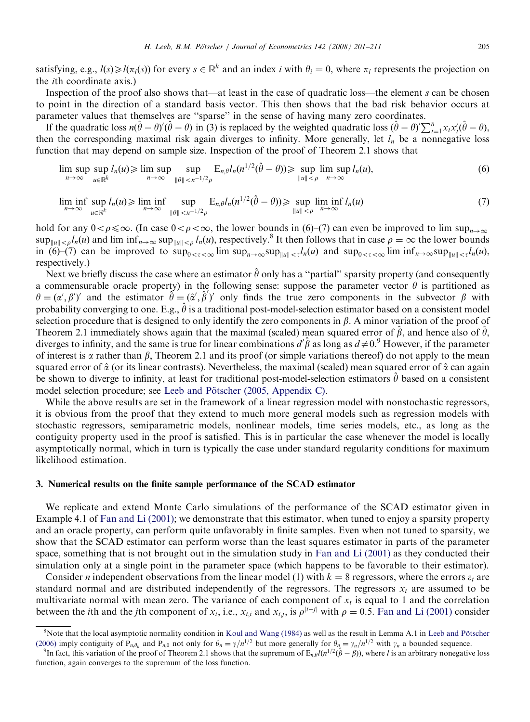satisfying, e.g.,  $l(s) \geq l(\pi_i(s))$  for every  $s \in \mathbb{R}^k$  and an index i with  $\theta_i = 0$ , where  $\pi_i$  represents the projection on the ith coordinate axis.)

Inspection of the proof also shows that—at least in the case of quadratic loss—the element s can be chosen to point in the direction of a standard basis vector. This then shows that the bad risk behavior occurs at parameter values that themselves are ''sparse'' in the sense of having many zero coordinates.

If the quadratic loss  $n(\hat{\theta} - \theta)'(\hat{\theta} - \theta)$  in (3) is replaced by the weighted quadratic loss  $(\hat{\theta} - \theta')'\sum_{t=1}^{n}x_t x_t'(\hat{\theta} - \theta)$ , then the corresponding maximal risk again diverges to infinity. More generally, let  $l_n$  be a nonnegative loss function that may depend on sample size. Inspection of the proof of Theorem 2.1 shows that

$$
\limsup_{n\to\infty} \sup_{u\in\mathbb{R}^k} l_n(u) \ge \limsup_{n\to\infty} \sup_{\|\theta\|< n^{-1/2}\rho} \mathbb{E}_{n,\theta} l_n(n^{1/2}(\hat{\theta}-\theta)) \ge \sup_{\|u\|< \rho} \limsup_{n\to\infty} l_n(u),\tag{6}
$$

$$
\liminf_{n \to \infty} \sup_{u \in \mathbb{R}^k} l_n(u) \ge \liminf_{n \to \infty} \sup_{\|\theta\| < n^{-1/2} \rho} E_{n,\theta} l_n(n^{1/2}(\hat{\theta} - \theta)) \ge \sup_{\|u\| < \rho} \liminf_{n \to \infty} l_n(u) \tag{7}
$$

hold for any  $0 < \rho \leq \infty$ . (In case  $0 < \rho < \infty$ , the lower bounds in (6)–(7) can even be improved to lim sup<sub>n</sub> $\infty$  $\sup_{\|u\| \leq \rho} l_n(u)$  and lim  $\inf_{n\to\infty} \sup_{\|u\| \leq \rho} l_n(u)$ , respectively.<sup>8</sup> It then follows that in case  $\rho = \infty$  the lower bounds in (6)–(7) can be improved to  $\sup_{0 \leq \tau \leq \infty}$  lim  $\sup_{n \to \infty}$ sup<sub>kukst</sub> $l_n(u)$  and  $\sup_{0 \leq \tau \leq \infty}$  lim  $\inf_{n \to \infty}$ sup<sub>kukst</sub> $l_n(u)$ , respectively.)

Next we briefly discuss the case where an estimator  $\hat{\theta}$  only has a "partial" sparsity property (and consequently a commensurable oracle property) in the following sense: suppose the parameter vector  $\theta$  is partitioned as  $\theta = (\alpha', \beta')'$  and the estimator  $\hat{\theta} = (\hat{\alpha}', \hat{\beta}')'$  only finds the true zero components in the subvector  $\beta$  with probability converging to one. E.g.,  $\hat{\theta}$  is a traditional post-model-selection estimator based on a consistent model selection procedure that is designed to only identify the zero components in  $\beta$ . A minor variation of the proof of Theorem 2.1 immediately shows again that the maximal (scaled) mean squared error of  $\hat{\beta}$ , and hence also of  $\hat{\theta}$ , diverges to infinity, and the same is true for linear combinations  $d'\hat{\beta}$  as long as  $d\neq0$ .<sup>9</sup> However, if the parameter of interest is  $\alpha$  rather than  $\beta$ , Theorem 2.1 and its proof (or simple variations thereof) do not apply to the mean squared error of  $\hat{\alpha}$  (or its linear contrasts). Nevertheless, the maximal (scaled) mean squared error of  $\hat{\alpha}$  can again be shown to diverge to infinity, at least for traditional post-model-selection estimators  $\hat{\theta}$  based on a consistent model selection procedure; see Leeb and Pötscher (2005, Appendix C).

While the above results are set in the framework of a linear regression model with nonstochastic regressors, it is obvious from the proof that they extend to much more general models such as regression models with stochastic regressors, semiparametric models, nonlinear models, time series models, etc., as long as the contiguity property used in the proof is satisfied. This is in particular the case whenever the model is locally asymptotically normal, which in turn is typically the case under standard regularity conditions for maximum likelihood estimation.

## 3. Numerical results on the finite sample performance of the SCAD estimator

We replicate and extend Monte Carlo simulations of the performance of the SCAD estimator given in Example 4.1 of [Fan and Li \(2001\);](#page-9-0) we demonstrate that this estimator, when tuned to enjoy a sparsity property and an oracle property, can perform quite unfavorably in finite samples. Even when not tuned to sparsity, we show that the SCAD estimator can perform worse than the least squares estimator in parts of the parameter space, something that is not brought out in the simulation study in [Fan and Li \(2001\)](#page-9-0) as they conducted their simulation only at a single point in the parameter space (which happens to be favorable to their estimator).

Consider *n* independent observations from the linear model (1) with  $k = 8$  regressors, where the errors  $\varepsilon_t$  are standard normal and are distributed independently of the regressors. The regressors  $x_t$  are assumed to be multivariate normal with mean zero. The variance of each component of  $x_t$  is equal to 1 and the correlation between the *i*th and the *j*th component of  $x_t$ , i.e.,  $x_{t,i}$  and  $x_{t,j}$ , is  $\rho^{|i-j|}$  with  $\rho = 0.5$ . [Fan and Li \(2001\)](#page-9-0) consider

<sup>&</sup>lt;sup>8</sup>Note that the local asymptotic normality condition in [Koul and Wang \(1984\)](#page-9-0) as well as the result in Lemma A.1 in Leeb and Pötscher [\(2006\)](#page-10-0) imply contiguity of P<sub>n $\theta_n$ </sub> and P<sub>n</sub><sub>0</sub> not only for  $\theta_n = \gamma/n^{1/2}$  but more generally for  $\theta_n = \gamma_n/n^{1/2}$  with  $\gamma_n$  a bounded sequence.

In fact, this variation of the proof of Theorem 2.1 shows that the supremum of  $E_{n,\theta}l(n^{1/2}(\hat{\beta} - \beta))$ , where l is an arbitrary nonegative loss function, again converges to the supremum of the loss function.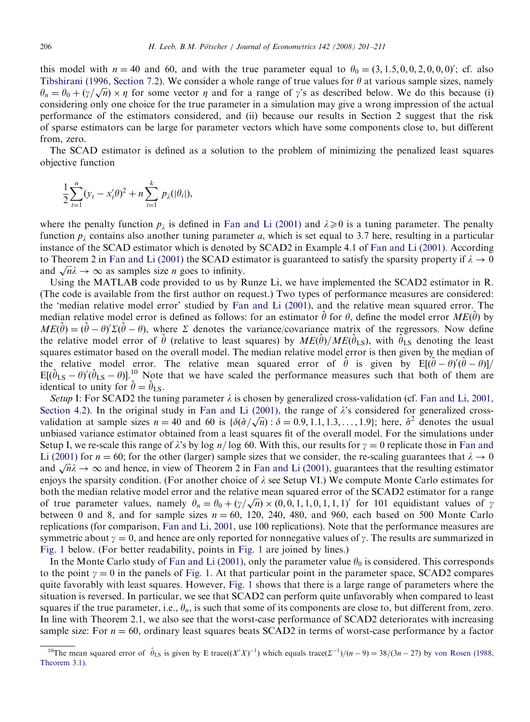this model with  $n = 40$  and 60, and with the true parameter equal to  $\theta_0 = (3, 1.5, 0, 0, 2, 0, 0, 0)'$ ; cf. also [Tibshirani \(1996, Section 7.2\).](#page-10-0) We consider a whole range of true values for  $\theta$  at various sample sizes, namely Froshiram (1990, Section 7.2). We consider a whole range of the values for *b* at various sample sizes, namely  $\theta_n = \theta_0 + (\gamma/\sqrt{n}) \times \eta$  for some vector  $\eta$  and for a range of  $\gamma$ 's as described below. We do this because (i considering only one choice for the true parameter in a simulation may give a wrong impression of the actual performance of the estimators considered, and (ii) because our results in Section 2 suggest that the risk of sparse estimators can be large for parameter vectors which have some components close to, but different from, zero.

The SCAD estimator is defined as a solution to the problem of minimizing the penalized least squares objective function

$$
\frac{1}{2}\sum_{t=1}^n (y_t - x_t'\theta)^2 + n \sum_{i=1}^k p_\lambda(|\theta_i|),
$$

where the penalty function  $p_{\lambda}$  is defined in [Fan and Li \(2001\)](#page-9-0) and  $\lambda \geq 0$  is a tuning parameter. The penalty function  $p_i$  contains also another tuning parameter a, which is set equal to 3.7 here, resulting in a particular instance of the SCAD estimator which is denoted by SCAD2 in Example 4.1 of [Fan and Li \(2001\).](#page-9-0) According to Theorem 2 in [Fan and Li \(2001\)](#page-9-0) the SCAD estimator is guaranteed to satisfy the sparsity property if  $\lambda \to 0$ to Theorem 2 in Fan and Li (2001) the SCAD estimated  $\sqrt{n}\lambda \to \infty$  as samples size *n* goes to infinity.

Using the MATLAB code provided to us by Runze Li, we have implemented the SCAD2 estimator in R. (The code is available from the first author on request.) Two types of performance measures are considered: the 'median relative model error' studied by [Fan and Li \(2001\),](#page-9-0) and the relative mean squared error. The median relative model error is defined as follows: for an estimator  $\hat{\theta}$  for  $\theta$ , define the model error  $ME(\hat{\theta})$  by  $ME(\hat{\theta}) = (\hat{\theta} - \theta)' \Sigma(\hat{\theta} - \theta)$ , where  $\Sigma$  denotes the variance/covariance matrix of the regressors. Now define the relative model error of  $\hat{\theta}$  (relative to least squares) by  $ME(\hat{\theta})/ME(\hat{\theta}_{LS})$ , with  $\hat{\theta}_{LS}$  denoting the least squares estimator based on the overall model. The median relative model error is then given by the median of the relative model error. The relative mean squared error of  $\hat{\theta}$  is given by  $E[(\hat{\theta} - \theta)'(\hat{\theta} - \theta)]$ /  $E[(\hat{\theta}_{LS} - \theta)'(\hat{\theta}_{LS} - \theta)]$ <sup>10</sup> Note that we have scaled the performance measures such that both of them are identical to unity for  $\hat{\theta} = \hat{\theta}_{LS}$ .

Setup I: For SCAD2 the tuning parameter  $\lambda$  is chosen by generalized cross-validation (cf. [Fan and Li, 2001,](#page-9-0) [Section 4.2](#page-9-0)). In the original study in [Fan and Li \(2001\),](#page-9-0) the range of  $\lambda$ 's considered for generalized crossvalidation at sample sizes  $n = 40$  and 60 is  $\{\delta(\hat{\sigma}/\sqrt{n}) : \delta = 0.9, 1.1, 1.3, ..., 1.9\}$ ; here,  $\hat{\sigma}^2$  denotes the usual unbiased variance estimator obtained from a least squares fit of the overall model. For the simulations under Setup I, we re-scale this range of  $\lambda$ 's by log n/log 60. With this, our results for  $\gamma = 0$  replicate those in [Fan and](#page-9-0) [Li \(2001\)](#page-9-0) for  $n = 60$ ; for the other (larger) sample sizes that we consider, the re-scaling guarantees that  $\lambda \to 0$ Li (2001) for  $n = 00$ , for the other (larger) sample sizes that we consider, the re-scaling guarantees that  $\lambda \to 0$ <br>and  $\sqrt{n}\lambda \to \infty$  and hence, in view of Theorem 2 in [Fan and Li \(2001\),](#page-9-0) guarantees that the resulting est enjoys the sparsity condition. (For another choice of  $\lambda$  see Setup VI.) We compute Monte Carlo estimates for both the median relative model error and the relative mean squared error of the SCAD2 estimator for a range both the median relative model error and the relative mean squared error of the SCAD2 estimator for a range of true parameter values, namely  $\theta_n = \theta_0 + (\gamma/\sqrt{n}) \times (0, 0, 1, 1, 0, 1, 1, 1)$  for 101 equidistant values of  $\gamma$ between 0 and 8, and for sample sizes  $n = 60$ , 120, 240, 480, and 960, each based on 500 Monte Carlo replications (for comparison, [Fan and Li, 2001,](#page-9-0) use 100 replications). Note that the performance measures are symmetric about  $\gamma = 0$ , and hence are only reported for nonnegative values of  $\gamma$ . The results are summarized in [Fig. 1](#page-6-0) below. (For better readability, points in [Fig. 1](#page-6-0) are joined by lines.)

In the Monte Carlo study of [Fan and Li \(2001\)](#page-9-0), only the parameter value  $\theta_0$  is considered. This corresponds to the point  $\gamma = 0$  in the panels of [Fig. 1.](#page-6-0) At that particular point in the parameter space, SCAD2 compares quite favorably with least squares. However, [Fig. 1](#page-6-0) shows that there is a large range of parameters where the situation is reversed. In particular, we see that SCAD2 can perform quite unfavorably when compared to least squares if the true parameter, i.e.,  $\theta_n$ , is such that some of its components are close to, but different from, zero. In line with Theorem 2.1, we also see that the worst-case performance of SCAD2 deteriorates with increasing sample size: For  $n = 60$ , ordinary least squares beats SCAD2 in terms of worst-case performance by a factor

<sup>&</sup>lt;sup>10</sup>The mean squared error of  $\hat{\theta}_{LS}$  is given by E trace $((X'X)^{-1})$  which equals trace $(\Sigma^{-1})/(n-9) = 38/(3n-27)$  by [von Rosen \(1988,](#page-10-0) [Theorem 3.1\)](#page-10-0).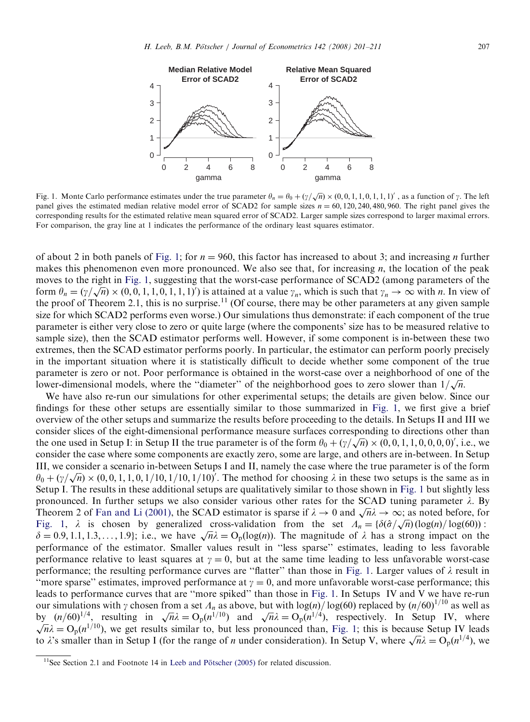

<span id="page-6-0"></span>

Fig. 1. Monte Carlo performance estimates under the true parameter  $\theta_n = \theta_0 + (\gamma/\sqrt{n}) \times (0, 0, 1, 1, 0, 1, 1, 1)'$ , as a function of  $\gamma$ . The left panel gives the estimated median relative model error of SCAD2 for sample sizes  $n = 60, 120, 240, 480, 960$ . The right panel gives the corresponding results for the estimated relative mean squared error of SCAD2. Larger sample sizes correspond to larger maximal errors. For comparison, the gray line at 1 indicates the performance of the ordinary least squares estimator.

of about 2 in both panels of Fig. 1; for  $n = 960$ , this factor has increased to about 3; and increasing *n* further makes this phenomenon even more pronounced. We also see that, for increasing  $n$ , the location of the peak moves to the right in Fig. 1, suggesting that the worst-case performance of SCAD2 (among parameters of the form  $\theta_n = (\gamma/\sqrt{n}) \times (0, 0, 1, 1, 0, 1, 1, 1)$  is attained at a value  $\gamma_n$ , which is such that  $\gamma_n \to \infty$  with *n*. In view of the proof of Theorem 2.1, this is no surprise.<sup>11</sup> (Of course, there may be other parameters at any given sample size for which SCAD2 performs even worse.) Our simulations thus demonstrate: if each component of the true parameter is either very close to zero or quite large (where the components' size has to be measured relative to sample size), then the SCAD estimator performs well. However, if some component is in-between these two extremes, then the SCAD estimator performs poorly. In particular, the estimator can perform poorly precisely in the important situation where it is statistically difficult to decide whether some component of the true parameter is zero or not. Poor performance is obtained in the worst-case over a neighborhood of one of the parameter is zero or not. Foor performance is obtained in the worst-case over a neighborhood or one lower-dimensional models, where the "diameter" of the neighborhood goes to zero slower than  $1/\sqrt{n}$ .

We have also re-run our simulations for other experimental setups; the details are given below. Since our findings for these other setups are essentially similar to those summarized in Fig. 1, we first give a brief overview of the other setups and summarize the results before proceeding to the details. In Setups II and III we consider slices of the eight-dimensional performance measure surfaces corresponding to directions other than the one used in Setup I: in Setup II the true parameter is of the form  $\theta_0 + (\gamma/\sqrt{n}) \times (0,0,1,1,0,0,0,0)'$ , i.e., we consider the case where some components are exactly zero, some are large, and others are in-between. In Setup III, we consider a scenario in-between Setups I and II, namely the case where the true parameter is of the form  $\theta_0 + (\gamma/\sqrt{n}) \times (0, 0, 1, 1, 0, 1/10, 1/10, 1/10)'$ . The method for choosing  $\lambda$  in these two setups is the same as in Setup I. The results in these additional setups are qualitatively similar to those shown in Fig. 1 but slightly less pronounced. In further setups we also consider various other rates for the SCAD tuning parameter  $\lambda$ . By pronounced. In further setups we also consider various other rates for the SCAD tuning parameter  $\lambda$ . By Theorem 2 of [Fan and Li \(2001\),](#page-9-0) the SCAD estimator is sparse if  $\lambda \to 0$  and  $\sqrt{n}\lambda \to \infty$ ; as noted before, for Fig. 1,  $\lambda$  is chosen by generalized cross-validation from the set  $\Lambda_n = {\delta(\hat{\sigma}/\sqrt{n}) (\log(n)/\log(60))}$ :  $\delta = 0.9, 1.1, 1.3, ..., 1.9$ ; i.e., we have  $\sqrt{n}\lambda = O_p(log(n))$ . The magnitude of  $\lambda$  has a strong impact on the performance of the estimator. Smaller values result in ''less sparse'' estimates, leading to less favorable performance relative to least squares at  $\gamma = 0$ , but at the same time leading to less unfavorable worst-case performance; the resulting performance curves are "flatter" than those in Fig. 1. Larger values of  $\lambda$  result in "more sparse" estimates, improved performance at  $\gamma = 0$ , and more unfavorable worst-case performance; this leads to performance curves that are ''more spiked'' than those in Fig. 1. In Setups IV and V we have re-run our simulations with  $\gamma$  chosen from a set  $\Lambda_n$  as above, but with log(n)/log(60) replaced by (n/60)<sup>1/10</sup> as well as by  $(n/60)^{1/4}$ , resulting in  $\sqrt{n\lambda} = O_p(n^{1/10})$  and  $\sqrt{n\lambda} = O_p(n^{1/4})$ , respectively. In Setup IV, where  $\sqrt{n\lambda} = O_p(n^{1/10})$  we get results similar to but less propounced than Fig. 1; this is because Setup IV leads  $\sqrt{n}\lambda = O_p(n^{1/10})$ , we get results similar to, but less pronounced than, Fig. 1; this is because Setup IV leads  $\sqrt{n\lambda} = O_p(n^{-\gamma})$ , we get results similar to, but less pronounced than, Fig. 1, this is because setup IV leads to  $\lambda$ 's smaller than in Setup I (for the range of *n* under consideration). In Setup V, where  $\sqrt{n}\lambda = O_p(n^{1/4})$ 

 $11$ See Section 2.1 and Footnote 14 in Leeb and Pötscher (2005) for related discussion.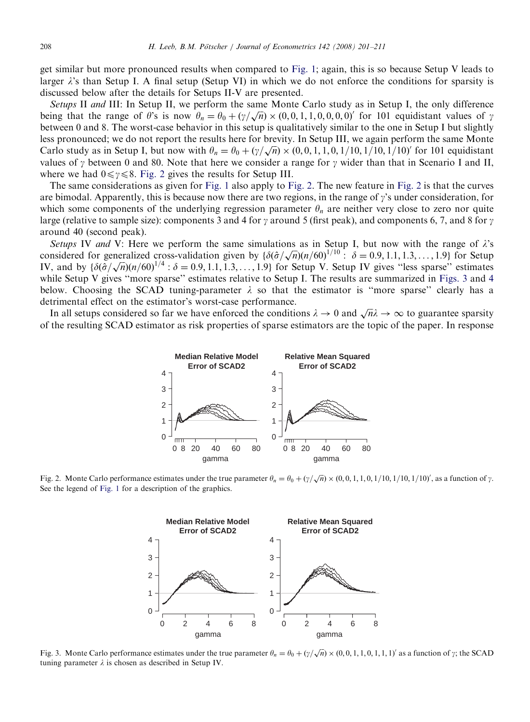get similar but more pronounced results when compared to [Fig. 1;](#page-6-0) again, this is so because Setup V leads to larger  $\lambda$ 's than Setup I. A final setup (Setup VI) in which we do not enforce the conditions for sparsity is discussed below after the details for Setups II-V are presented.

Setups II and III: In Setup II, we perform the same Monte Carlo study as in Setup I, the only difference being that the range of  $\theta$ 's is now  $\theta_n = \theta_0 + (\gamma/\sqrt{n}) \times (0, 0, 1, 1, 0, 0, 0, 0)'$  for 101 equidistant values of  $\gamma$ between 0 and 8. The worst-case behavior in this setup is qualitatively similar to the one in Setup I but slightly less pronounced; we do not report the results here for brevity. In Setup III, we again perform the same Monte Carlo study as in Setup I, but now with  $\theta_n = \theta_0 + (\gamma/\sqrt{n}) \times (0, 0, 1, 1, 0, 1/10, 1/10, 1/10)'$  for 101 equidistant values of  $\gamma$  between 0 and 80. Note that here we consider a range for  $\gamma$  wider than that in Scenario I and II, where we had  $0 \leq \gamma \leq 8$ . Fig. 2 gives the results for Setup III.

The same considerations as given for [Fig. 1](#page-6-0) also apply to Fig. 2. The new feature in Fig. 2 is that the curves are bimodal. Apparently, this is because now there are two regions, in the range of  $\gamma$ 's under consideration, for which some components of the underlying regression parameter  $\theta_n$  are neither very close to zero nor quite large (relative to sample size): components 3 and 4 for  $\gamma$  around 5 (first peak), and components 6, 7, and 8 for  $\gamma$ around 40 (second peak).

Setups IV and V: Here we perform the same simulations as in Setup I, but now with the range of  $\lambda$ 's setups TV and V. Here we perform the same simulations as in Setup 1, but now with the range of  $\lambda$  s<br>considered for generalized cross-validation given by  $\{\delta(\hat{\sigma}/\sqrt{n})(n/60)^{1/10}$ :  $\delta = 0.9, 1.1, 1.3, ..., 1.9\}$  for Setup Considered for generalized cross-vandation given by  $\{\partial(\partial/\sqrt{n})(n/\partial\theta)^+ : \partial = 0.9, 1.1, 1.3, \dots, 1.9\}$  for Setup IV gives "less sparse" estimates while Setup V gives "more sparse" estimates relative to Setup I. The results are summarized in Figs. 3 and [4](#page-8-0) below. Choosing the SCAD tuning-parameter  $\lambda$  so that the estimator is "more sparse" clearly has a detrimental effect on the estimator's worst-case performance.

In all setups considered so far we have enforced the conditions  $\lambda \to 0$  and  $\sqrt{n}\lambda \to \infty$  to guarantee sparsity of the resulting SCAD estimator as risk properties of sparse estimators are the topic of the paper. In response



Fig. 2. Monte Carlo performance estimates under the true parameter  $\theta_n = \theta_0 + (\gamma/\sqrt{n}) \times (0, 0, 1, 1, 0, 1/10, 1/10, 1/10)'$ , as a function of  $\gamma$ . See the legend of [Fig. 1](#page-6-0) for a description of the graphics.



Fig. 3. Monte Carlo performance estimates under the true parameter  $\theta_n = \theta_0 + (\gamma/\sqrt{n}) \times (0, 0, 1, 1, 0, 1, 1, 1)$  as a function of  $\gamma$ ; the SCAD tuning parameter  $\lambda$  is chosen as described in Setup IV.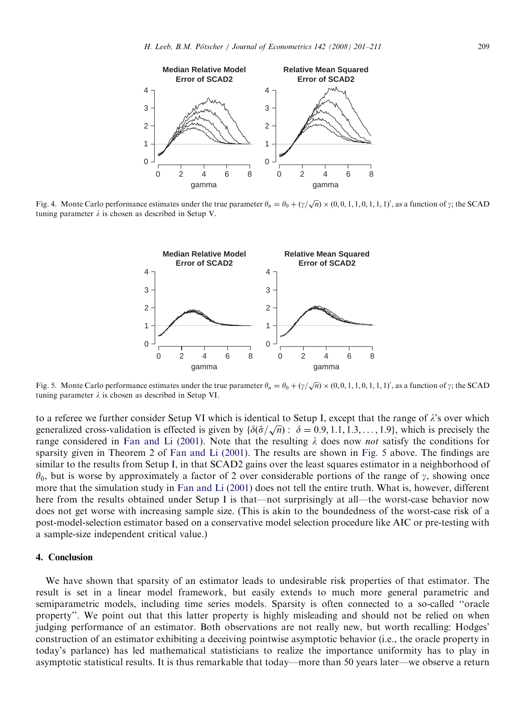<span id="page-8-0"></span>

Fig. 4. Monte Carlo performance estimates under the true parameter  $\theta_n = \theta_0 + (\gamma/\sqrt{n}) \times (0, 0, 1, 1, 0, 1, 1, 1)$ , as a function of  $\gamma$ ; the SCAD tuning parameter  $\lambda$  is chosen as described in Setup V.



Fig. 5. Monte Carlo performance estimates under the true parameter  $\theta_n = \theta_0 + (\gamma/\sqrt{n}) \times (0, 0, 1, 1, 0, 1, 1, 1)$ , as a function of  $\gamma$ ; the SCAD tuning parameter  $\lambda$  is chosen as described in Setup VI.

to a referee we further consider Setup VI which is identical to Setup I, except that the range of  $\lambda$ 's over which to a referee we further consider setup VI which is identical to setup I, except that the range of  $\lambda$  s over which<br>generalized cross-validation is effected is given by  $\{\delta(\hat{\sigma}/\sqrt{n}) : \delta = 0.9, 1.1, 1.3, ..., 1.9\}$ , which is p range considered in [Fan and Li \(2001\).](#page-9-0) Note that the resulting  $\lambda$  does now *not* satisfy the conditions for sparsity given in Theorem 2 of [Fan and Li \(2001\)](#page-9-0). The results are shown in Fig. 5 above. The findings are similar to the results from Setup I, in that SCAD2 gains over the least squares estimator in a neighborhood of  $\theta_0$ , but is worse by approximately a factor of 2 over considerable portions of the range of  $\gamma$ , showing once more that the simulation study in [Fan and Li \(2001\)](#page-9-0) does not tell the entire truth. What is, however, different here from the results obtained under Setup I is that—not surprisingly at all—the worst-case behavior now does not get worse with increasing sample size. (This is akin to the boundedness of the worst-case risk of a post-model-selection estimator based on a conservative model selection procedure like AIC or pre-testing with a sample-size independent critical value.)

## 4. Conclusion

We have shown that sparsity of an estimator leads to undesirable risk properties of that estimator. The result is set in a linear model framework, but easily extends to much more general parametric and semiparametric models, including time series models. Sparsity is often connected to a so-called ''oracle property''. We point out that this latter property is highly misleading and should not be relied on when judging performance of an estimator. Both observations are not really new, but worth recalling: Hodges' construction of an estimator exhibiting a deceiving pointwise asymptotic behavior (i.e., the oracle property in today's parlance) has led mathematical statisticians to realize the importance uniformity has to play in asymptotic statistical results. It is thus remarkable that today—more than 50 years later—we observe a return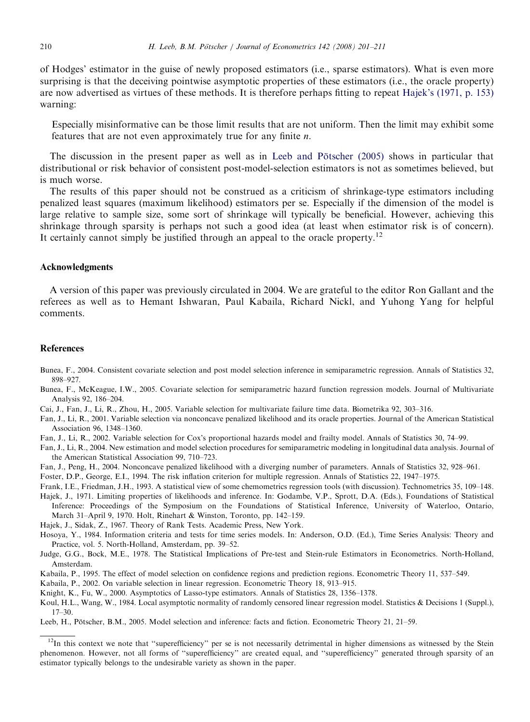<span id="page-9-0"></span>of Hodges' estimator in the guise of newly proposed estimators (i.e., sparse estimators). What is even more surprising is that the deceiving pointwise asymptotic properties of these estimators (i.e., the oracle property) are now advertised as virtues of these methods. It is therefore perhaps fitting to repeat Hajek's (1971, p. 153) warning:

Especially misinformative can be those limit results that are not uniform. Then the limit may exhibit some features that are not even approximately true for any finite n.

The discussion in the present paper as well as in Leeb and Pötscher (2005) shows in particular that distributional or risk behavior of consistent post-model-selection estimators is not as sometimes believed, but is much worse.

The results of this paper should not be construed as a criticism of shrinkage-type estimators including penalized least squares (maximum likelihood) estimators per se. Especially if the dimension of the model is large relative to sample size, some sort of shrinkage will typically be beneficial. However, achieving this shrinkage through sparsity is perhaps not such a good idea (at least when estimator risk is of concern). It certainly cannot simply be justified through an appeal to the oracle property.<sup>12</sup>

#### Acknowledgments

A version of this paper was previously circulated in 2004. We are grateful to the editor Ron Gallant and the referees as well as to Hemant Ishwaran, Paul Kabaila, Richard Nickl, and Yuhong Yang for helpful comments.

#### References

- Bunea, F., 2004. Consistent covariate selection and post model selection inference in semiparametric regression. Annals of Statistics 32, 898–927.
- Bunea, F., McKeague, I.W., 2005. Covariate selection for semiparametric hazard function regression models. Journal of Multivariate Analysis 92, 186–204.
- Cai, J., Fan, J., Li, R., Zhou, H., 2005. Variable selection for multivariate failure time data. Biometrika 92, 303–316.

Fan, J., Li, R., 2001. Variable selection via nonconcave penalized likelihood and its oracle properties. Journal of the American Statistical Association 96, 1348–1360.

- Fan, J., Li, R., 2002. Variable selection for Cox's proportional hazards model and frailty model. Annals of Statistics 30, 74–99.
- Fan, J., Li, R., 2004. New estimation and model selection procedures for semiparametric modeling in longitudinal data analysis. Journal of the American Statistical Association 99, 710–723.
- Fan, J., Peng, H., 2004. Nonconcave penalized likelihood with a diverging number of parameters. Annals of Statistics 32, 928–961.
- Foster, D.P., George, E.I., 1994. The risk inflation criterion for multiple regression. Annals of Statistics 22, 1947–1975.
- Frank, I.E., Friedman, J.H., 1993. A statistical view of some chemometrics regression tools (with discussion). Technometrics 35, 109–148.
- Hajek, J., 1971. Limiting properties of likelihoods and inference. In: Godambe, V.P., Sprott, D.A. (Eds.), Foundations of Statistical Inference: Proceedings of the Symposium on the Foundations of Statistical Inference, University of Waterloo, Ontario, March 31–April 9, 1970. Holt, Rinehart & Winston, Toronto, pp. 142–159.
- Hajek, J., Sidak, Z., 1967. Theory of Rank Tests. Academic Press, New York.
- Hosoya, Y., 1984. Information criteria and tests for time series models. In: Anderson, O.D. (Ed.), Time Series Analysis: Theory and Practice, vol. 5. North-Holland, Amsterdam, pp. 39–52.
- Judge, G.G., Bock, M.E., 1978. The Statistical Implications of Pre-test and Stein-rule Estimators in Econometrics. North-Holland, Amsterdam.
- Kabaila, P., 1995. The effect of model selection on confidence regions and prediction regions. Econometric Theory 11, 537–549.
- Kabaila, P., 2002. On variable selection in linear regression. Econometric Theory 18, 913–915.
- Knight, K., Fu, W., 2000. Asymptotics of Lasso-type estimators. Annals of Statistics 28, 1356–1378.
- Koul, H.L., Wang, W., 1984. Local asymptotic normality of randomly censored linear regression model. Statistics & Decisions 1 (Suppl.), 17–30.
- Leeb, H., Pötscher, B.M., 2005. Model selection and inference: facts and fiction. Econometric Theory 21, 21–59.

 $12$ In this context we note that "superefficiency" per se is not necessarily detrimental in higher dimensions as witnessed by the Stein phenomenon. However, not all forms of ''superefficiency'' are created equal, and ''superefficiency'' generated through sparsity of an estimator typically belongs to the undesirable variety as shown in the paper.